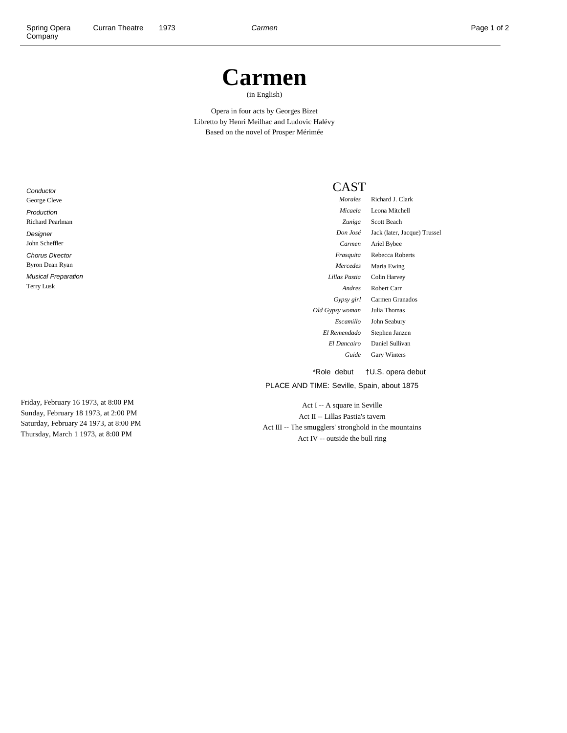## **Carmen**

(in English)

Opera in four acts by Georges Bizet Libretto by Henri Meilhac and Ludovic Halévy Based on the novel of Prosper Mérimée

**Conductor** George Cleve Production Richard Pearlman Designer John Scheffler Chorus Director Byron Dean Ryan Musical Preparation Terry Lusk

Friday, February 16 1973, at 8:00 PM Sunday, February 18 1973, at 2:00 PM Saturday, February 24 1973, at 8:00 PM Thursday, March 1 1973, at 8:00 PM

## CAST

| Morales          | Richard J. Clark             |
|------------------|------------------------------|
| Micaela          | Leona Mitchell               |
| Zuniga           | <b>Scott Beach</b>           |
| Don José         | Jack (later, Jacque) Trussel |
| Carmen           | Ariel Bybee                  |
| Frasquita        | Rebecca Roberts              |
| Mercedes         | Maria Ewing                  |
| Lillas Pastia    | Colin Harvey                 |
| Andres           | Robert Carr                  |
| Gypsy girl       | Carmen Granados              |
| Old Gypsy woman  | Julia Thomas                 |
| <i>Escamillo</i> | John Seabury                 |
| El Remendado     | Stephen Janzen               |
| El Dancairo      | Daniel Sullivan              |
| Guide            | <b>Gary Winters</b>          |
|                  |                              |

\*Role debut †U.S. opera debut

PLACE AND TIME: Seville, Spain, about 1875

Act I -- A square in Seville Act II -- Lillas Pastia's tavern Act III -- The smugglers' stronghold in the mountains Act IV -- outside the bull ring